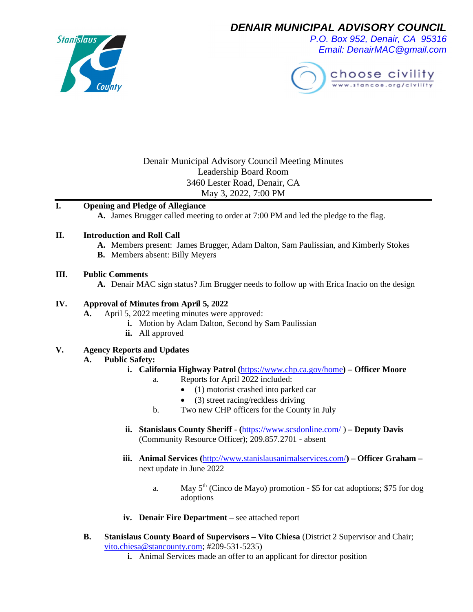

*DENAIR MUNICIPAL ADVISORY COUNCIL*

*P.O. Box 952, Denair, CA 95316 Email: DenairMAC@gmail.com*



## Denair Municipal Advisory Council Meeting Minutes Leadership Board Room 3460 Lester Road, Denair, CA May 3, 2022, 7:00 PM

## **I. Opening and Pledge of Allegiance**

**A.** James Brugger called meeting to order at 7:00 PM and led the pledge to the flag.

#### **II. Introduction and Roll Call**

- **A.** Members present: James Brugger, Adam Dalton, Sam Paulissian, and Kimberly Stokes
- **B.** Members absent: Billy Meyers

#### **III. Public Comments**

**A.** Denair MAC sign status? Jim Brugger needs to follow up with Erica Inacio on the design

#### **IV. Approval of Minutes from April 5, 2022**

- **A.** April 5, 2022 meeting minutes were approved:
	- **i.** Motion by Adam Dalton, Second by Sam Paulissian
	- **ii.** All approved

#### **V. Agency Reports and Updates**

#### **A. Public Safety:**

- **i. California Highway Patrol (**<https://www.chp.ca.gov/home>**) Officer Moore**
	- a. Reports for April 2022 included:
		- (1) motorist crashed into parked car
		- (3) street racing/reckless driving
	- b. Two new CHP officers for the County in July
- **ii. Stanislaus County Sheriff (**<https://www.scsdonline.com/>)  **Deputy Davis** (Community Resource Officer); 209.857.2701 - absent
- **iii. Animal Services (**<http://www.stanislausanimalservices.com/>**) Officer Graham –** next update in June 2022
	- a. May  $5<sup>th</sup>$  (Cinco de Mayo) promotion \$5 for cat adoptions; \$75 for dog adoptions
- **iv. Denair Fire Department** see attached report
- **B. Stanislaus County Board of Supervisors Vito Chiesa** (District 2 Supervisor and Chair; [vito.chiesa@stancounty.com](mailto:vito.chiesa@stancounty.com); #209-531-5235)
	- **i.** Animal Services made an offer to an applicant for director position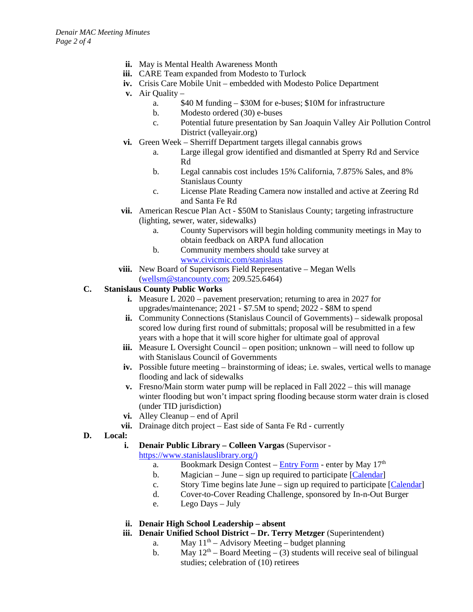- **ii.** May is Mental Health Awareness Month
- **iii.** CARE Team expanded from Modesto to Turlock
- **iv.** Crisis Care Mobile Unit embedded with Modesto Police Department
- **v.** Air Quality
	- a. \$40 M funding \$30M for e-buses; \$10M for infrastructure
	- b. Modesto ordered (30) e-buses
	- c. Potential future presentation by San Joaquin Valley Air Pollution Control District (valleyair.org)
- **vi.** Green Week Sherriff Department targets illegal cannabis grows
	- a. Large illegal grow identified and dismantled at Sperry Rd and Service Rd
	- b. Legal cannabis cost includes 15% California, 7.875% Sales, and 8% Stanislaus County
	- c. License Plate Reading Camera now installed and active at Zeering Rd and Santa Fe Rd
- **vii.** American Rescue Plan Act \$50M to Stanislaus County; targeting infrastructure (lighting, sewer, water, sidewalks)
	- a. County Supervisors will begin holding community meetings in May to obtain feedback on ARPA fund allocation
	- b. Community members should take survey at [www.civicmic.com/stanislaus](http://www.civicmic.com/stanislaus)
- **viii.** New Board of Supervisors Field Representative Megan Wells ([wellsm@stancounty.com;](mailto:wellsm@stancounty.com) 209.525.6464)
- **C. Stanislaus County Public Works**
	- **i.** Measure L 2020 pavement preservation; returning to area in 2027 for upgrades/maintenance; 2021 - \$7.5M to spend; 2022 - \$8M to spend
	- **ii.** Community Connections (Stanislaus Council of Governments) sidewalk proposal scored low during first round of submittals; proposal will be resubmitted in a few years with a hope that it will score higher for ultimate goal of approval
	- **iii.** Measure L Oversight Council open position; unknown will need to follow up with Stanislaus Council of Governments
	- **iv.** Possible future meeting brainstorming of ideas; i.e. swales, vertical wells to manage flooding and lack of sidewalks
	- **v.** Fresno/Main storm water pump will be replaced in Fall 2022 this will manage winter flooding but won't impact spring flooding because storm water drain is closed (under TID jurisdiction)
	- **vi.** Alley Cleanup end of April
	- **vii.** Drainage ditch project East side of Santa Fe Rd currently
- **D. Local:**
	- **i. Denair Public Library Colleen Vargas** (Supervisor -

[https://www.stanislauslibrary.org/\)](https://www.stanislauslibrary.org/))

- a. Bookmark Design Contest [Entry Form](https://www.stanislauslibrary.org/pdf/summer_reading_challenge_bookmark_contest_entry_form_2022.pdf) enter by May  $17<sup>th</sup>$
- b. Magician June sign up required to participate [\[Calendar\]](http://engagedpatrons.org/EventsCalendar.cfm?SiteID=2487&thisMonth=6&thisYear=2022&BranchID=1000002236&audience=X)
- c. Story Time begins late June sign up required to participate [\[Calendar\]](http://engagedpatrons.org/EventsCalendar.cfm?SiteID=2487&thisMonth=6&thisYear=2022&BranchID=1000002236&audience=X)
- d. Cover-to-Cover Reading Challenge, sponsored by In-n-Out Burger
- e. Lego Days July
- **ii. Denair High School Leadership absent**
- **iii. Denair Unified School District Dr. Terry Metzger** (Superintendent)
	- a. May  $11<sup>th</sup>$  Advisory Meeting budget planning
	- b. May  $12<sup>th</sup>$  Board Meeting (3) students will receive seal of bilingual studies; celebration of (10) retirees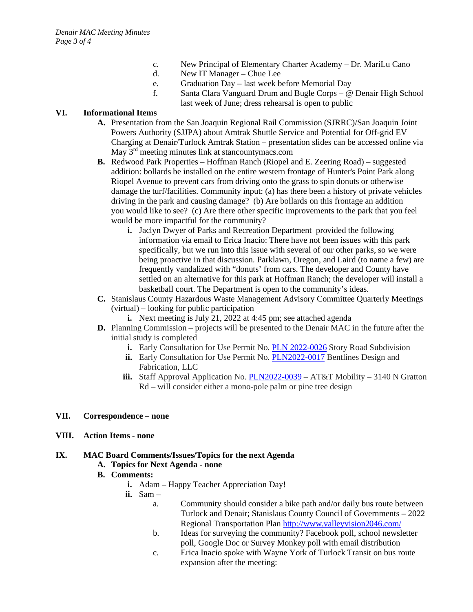- c. New Principal of Elementary Charter Academy Dr. MariLu Cano
- d. New IT Manager Chue Lee
- e. Graduation Day last week before Memorial Day
- f. Santa Clara Vanguard Drum and Bugle Corps @ Denair High School last week of June; dress rehearsal is open to public

## **VI. Informational Items**

- **A.** Presentation from the San Joaquin Regional Rail Commission (SJRRC)/San Joaquin Joint Powers Authority (SJJPA) about Amtrak Shuttle Service and Potential for Off-grid EV Charging at Denair/Turlock Amtrak Station – presentation slides can be accessed online via May 3<sup>rd</sup> meeting minutes link at stancountymacs.com
- **B.** Redwood Park Properties Hoffman Ranch (Riopel and E. Zeering Road) suggested addition: bollards be installed on the entire western frontage of Hunter's Point Park along Riopel Avenue to prevent cars from driving onto the grass to spin donuts or otherwise damage the turf/facilities. Community input: (a) has there been a history of private vehicles driving in the park and causing damage? (b) Are bollards on this frontage an addition you would like to see? (c) Are there other specific improvements to the park that you feel would be more impactful for the community?
	- **i.** Jaclyn Dwyer of Parks and Recreation Department provided the following information via email to Erica Inacio: There have not been issues with this park specifically, but we run into this issue with several of our other parks, so we were being proactive in that discussion. Parklawn, Oregon, and Laird (to name a few) are frequently vandalized with "donuts' from cars. The developer and County have settled on an alternative for this park at Hoffman Ranch; the developer will install a basketball court. The Department is open to the community's ideas.
- **C.** Stanislaus County Hazardous Waste Management Advisory Committee Quarterly Meetings (virtual) – looking for public participation
	- **i.** Next meeting is July 21, 2022 at 4:45 pm; see attached agenda
- **D.** Planning Commission projects will be presented to the Denair MAC in the future after the initial study is completed
	- **i.** Early Consultation for Use Permit No. [PLN 2022-0026](https://www.stancounty.com/planning/pl/act-proj/PLN2022-0026_EC.pdf) Story Road Subdivision
	- **ii.** Early Consultation for Use Permit No. [PLN2022-0017](https://www.stancounty.com/planning/pl/act-proj/PLN2022-0017_EC.pdf) Bentlines Design and Fabrication, LLC
	- **iii.** Staff Approval Application No. [PLN2022-0039](https://www.stancounty.com/planning/pl/act-proj/PLN2022-0039_EC.pdf) AT&T Mobility 3140 N Gratton Rd – will consider either a mono-pole palm or pine tree design

## **VII. Correspondence – none**

**VIII. Action Items - none**

## **IX. MAC Board Comments/Issues/Topics for the next Agenda**

## **A. Topics for Next Agenda - none**

- **B. Comments:**
	- **i.** Adam Happy Teacher Appreciation Day!
	- **ii.** Sam
		- a. Community should consider a bike path and/or daily bus route between Turlock and Denair; Stanislaus County Council of Governments – 2022 Regional Transportation Plan <http://www.valleyvision2046.com/>
		- b. Ideas for surveying the community? Facebook poll, school newsletter poll, Google Doc or Survey Monkey poll with email distribution
		- c. Erica Inacio spoke with Wayne York of Turlock Transit on bus route expansion after the meeting: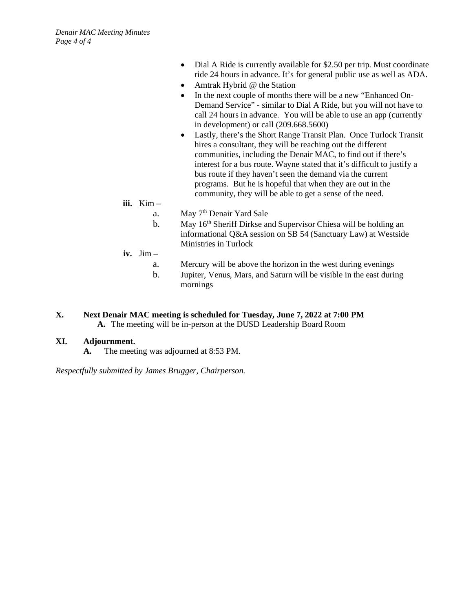- Dial A Ride is currently available for \$2.50 per trip. Must coordinate ride 24 hours in advance. It's for general public use as well as ADA.
- Amtrak Hybrid @ the Station
- In the next couple of months there will be a new "Enhanced On-Demand Service" - similar to Dial A Ride, but you will not have to call 24 hours in advance. You will be able to use an app (currently in development) or call (209.668.5600)
- Lastly, there's the Short Range Transit Plan. Once Turlock Transit hires a consultant, they will be reaching out the different communities, including the Denair MAC, to find out if there's interest for a bus route. Wayne stated that it's difficult to justify a bus route if they haven't seen the demand via the current programs. But he is hopeful that when they are out in the community, they will be able to get a sense of the need.
- **iii.** Kim –

a. May  $7<sup>th</sup>$  Denair Yard Sale

- b. May  $16<sup>th</sup>$  Sheriff Dirkse and Supervisor Chiesa will be holding an informational Q&A session on SB 54 (Sanctuary Law) at Westside Ministries in Turlock
- **iv.** Jim
	- a. Mercury will be above the horizon in the west during evenings
	- b. Jupiter, Venus, Mars, and Saturn will be visible in the east during mornings
- **X. Next Denair MAC meeting is scheduled for Tuesday, June 7, 2022 at 7:00 PM A.** The meeting will be in-person at the DUSD Leadership Board Room

#### **XI. Adjournment.**

**A.** The meeting was adjourned at 8:53 PM.

*Respectfully submitted by James Brugger, Chairperson.*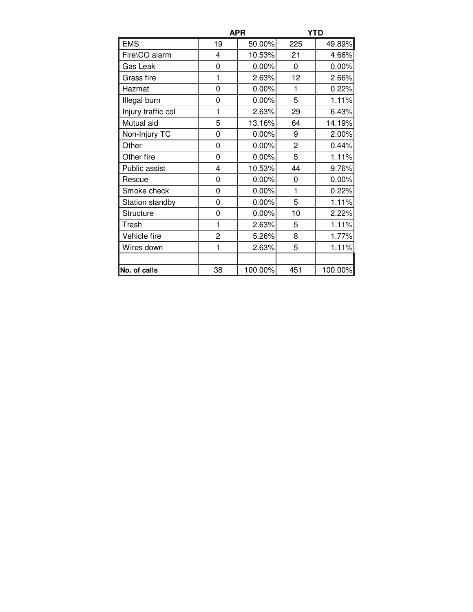|                    | <b>APR</b>     |          | <b>YTD</b>     |         |
|--------------------|----------------|----------|----------------|---------|
| <b>EMS</b>         | 19             | 50.00%   | 225            | 49.89%  |
| Fire\CO alarm      | 4              | 10.53%   | 21             | 4.66%   |
| Gas Leak           | 0              | 0.00%    | 0              | 0.00%   |
| Grass fire         | 1              | 2.63%    | 12             | 2.66%   |
| Hazmat             | 0              | 0.00%    | 1              | 0.22%   |
| Illegal burn       | 0              | 0.00%    | 5              | 1.11%   |
| Injury traffic col | 1              | 2.63%    | 29             | 6.43%   |
| Mutual aid         | 5              | 13.16%   | 64             | 14.19%  |
| Non-Injury TC      | 0              | $0.00\%$ | 9              | 2.00%   |
| Other              | 0              | 0.00%    | $\overline{2}$ | 0.44%   |
| Other fire         | 0              | 0.00%    | 5              | 1.11%   |
| Public assist      | 4              | 10.53%   | 44             | 9.76%   |
| Rescue             | 0              | 0.00%    | 0              | 0.00%   |
| Smoke check        | 0              | 0.00%    | 1              | 0.22%   |
| Station standby    | 0              | 0.00%    | 5              | 1.11%   |
| <b>Structure</b>   | 0              | 0.00%    | 10             | 2.22%   |
| Trash              | 1              | 2.63%    | 5              | 1.11%   |
| Vehicle fire       | $\overline{2}$ | 5.26%    | 8              | 1.77%   |
| Wires down         | 1              | 2.63%    | 5              | 1.11%   |
|                    |                |          |                |         |
| No. of calls       | 38             | 100.00%  | 451            | 100.00% |